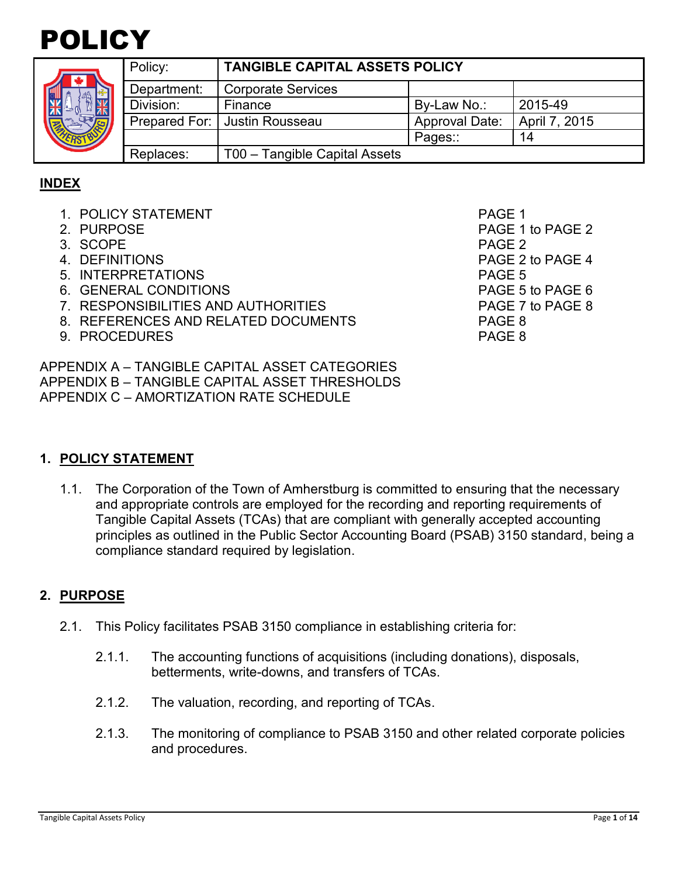



|  | Policy:     | <b>TANGIBLE CAPITAL ASSETS POLICY</b> |                       |               |  |
|--|-------------|---------------------------------------|-----------------------|---------------|--|
|  | Department: | Corporate Services                    |                       |               |  |
|  | Division:   | Finance                               | By-Law No.:           | 2015-49       |  |
|  |             | Prepared For:   Justin Rousseau       | <b>Approval Date:</b> | April 7, 2015 |  |
|  |             |                                       | Pages::               | 14            |  |
|  | Replaces:   | T00 - Tangible Capital Assets         |                       |               |  |

## **INDEX**

- 1. POLICY STATEMENT And the state of the state of the page 1
- 
- 3. SCOPE PAGE 2
- 
- 5. INTERPRETATIONS PAGE 5
- 6. GENERAL CONDITIONS PAGE 5 to PAGE 6
- 7. RESPONSIBILITIES AND AUTHORITIES PAGE 7 to PAGE 8
- 8. REFERENCES AND RELATED DOCUMENTS PAGE 8
- 9. PROCEDURES PAGE 8

APPENDIX A – TANGIBLE CAPITAL ASSET CATEGORIES APPENDIX B – TANGIBLE CAPITAL ASSET THRESHOLDS APPENDIX C – AMORTIZATION RATE SCHEDULE

2. PURPOSE 2 4. DEFINITIONS PAGE 2 to PAGE 4

# **1. POLICY STATEMENT**

1.1. The Corporation of the Town of Amherstburg is committed to ensuring that the necessary and appropriate controls are employed for the recording and reporting requirements of Tangible Capital Assets (TCAs) that are compliant with generally accepted accounting principles as outlined in the Public Sector Accounting Board (PSAB) 3150 standard, being a compliance standard required by legislation.

# **2. PURPOSE**

- 2.1. This Policy facilitates PSAB 3150 compliance in establishing criteria for:
	- 2.1.1. The accounting functions of acquisitions (including donations), disposals, betterments, write-downs, and transfers of TCAs.
	- 2.1.2. The valuation, recording, and reporting of TCAs.
	- 2.1.3. The monitoring of compliance to PSAB 3150 and other related corporate policies and procedures.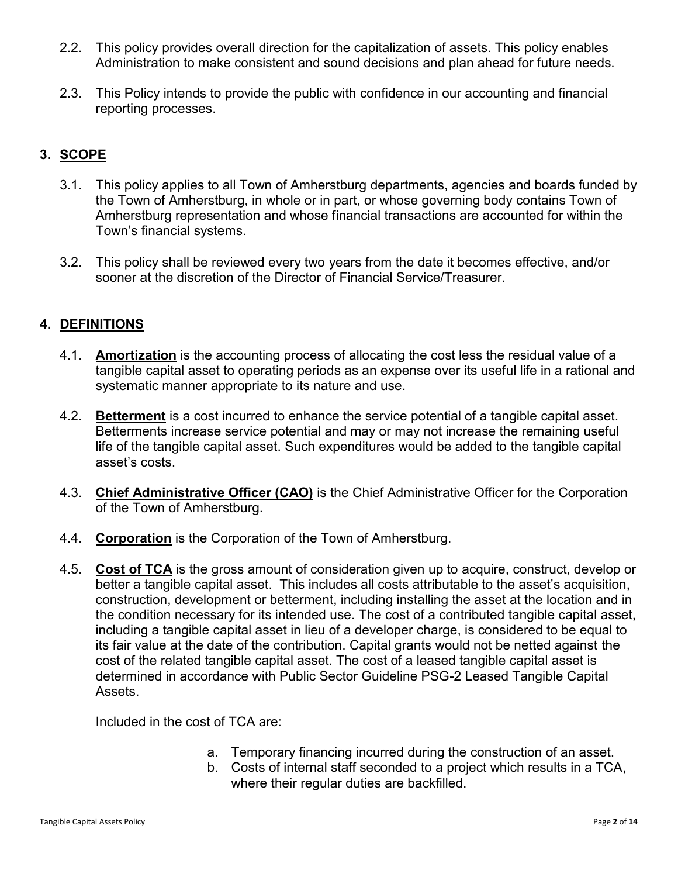- 2.2. This policy provides overall direction for the capitalization of assets. This policy enables Administration to make consistent and sound decisions and plan ahead for future needs.
- 2.3. This Policy intends to provide the public with confidence in our accounting and financial reporting processes.

# **3. SCOPE**

- 3.1. This policy applies to all Town of Amherstburg departments, agencies and boards funded by the Town of Amherstburg, in whole or in part, or whose governing body contains Town of Amherstburg representation and whose financial transactions are accounted for within the Town's financial systems.
- 3.2. This policy shall be reviewed every two years from the date it becomes effective, and/or sooner at the discretion of the Director of Financial Service/Treasurer.

# **4. DEFINITIONS**

- 4.1. **Amortization** is the accounting process of allocating the cost less the residual value of a tangible capital asset to operating periods as an expense over its useful life in a rational and systematic manner appropriate to its nature and use.
- 4.2. **Betterment** is a cost incurred to enhance the service potential of a tangible capital asset. Betterments increase service potential and may or may not increase the remaining useful life of the tangible capital asset. Such expenditures would be added to the tangible capital asset's costs.
- 4.3. **Chief Administrative Officer (CAO)** is the Chief Administrative Officer for the Corporation of the Town of Amherstburg.
- 4.4. **Corporation** is the Corporation of the Town of Amherstburg.
- 4.5. **Cost of TCA** is the gross amount of consideration given up to acquire, construct, develop or better a tangible capital asset. This includes all costs attributable to the asset's acquisition, construction, development or betterment, including installing the asset at the location and in the condition necessary for its intended use. The cost of a contributed tangible capital asset, including a tangible capital asset in lieu of a developer charge, is considered to be equal to its fair value at the date of the contribution. Capital grants would not be netted against the cost of the related tangible capital asset. The cost of a leased tangible capital asset is determined in accordance with Public Sector Guideline PSG-2 Leased Tangible Capital Assets.

Included in the cost of TCA are:

- a. Temporary financing incurred during the construction of an asset.
- b. Costs of internal staff seconded to a project which results in a TCA, where their regular duties are backfilled.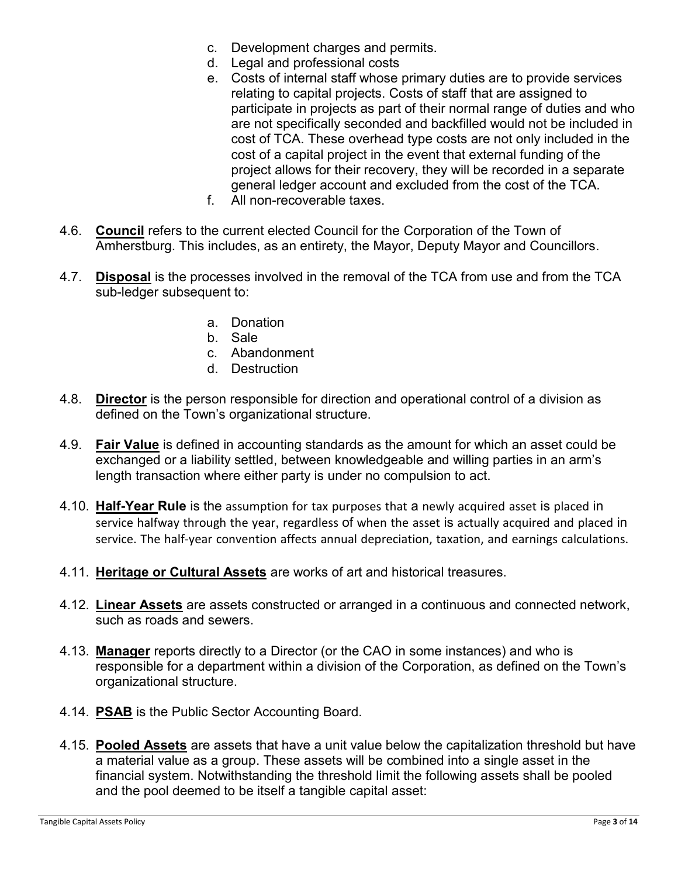- c. Development charges and permits.
- d. Legal and professional costs
- e. Costs of internal staff whose primary duties are to provide services relating to capital projects. Costs of staff that are assigned to participate in projects as part of their normal range of duties and who are not specifically seconded and backfilled would not be included in cost of TCA. These overhead type costs are not only included in the cost of a capital project in the event that external funding of the project allows for their recovery, they will be recorded in a separate general ledger account and excluded from the cost of the TCA.
- f. All non-recoverable taxes.
- 4.6. **Council** refers to the current elected Council for the Corporation of the Town of Amherstburg. This includes, as an entirety, the Mayor, Deputy Mayor and Councillors.
- 4.7. **Disposal** is the processes involved in the removal of the TCA from use and from the TCA sub-ledger subsequent to:
	- a. Donation
	- b. Sale
	- c. Abandonment
	- d. Destruction
- 4.8. **Director** is the person responsible for direction and operational control of a division as defined on the Town's organizational structure.
- 4.9. **Fair Value** is defined in accounting standards as the amount for which an asset could be exchanged or a liability settled, between knowledgeable and willing parties in an arm's length transaction where either party is under no compulsion to act.
- 4.10. **Half-Year Rule** is the assumption for tax purposes that a newly acquired asset is placed in service halfway through the year, regardless of when the asset is actually acquired and placed in service. The half-year convention affects annual depreciation, taxation, and earnings calculations.
- 4.11. **Heritage or Cultural Assets** are works of art and historical treasures.
- 4.12. **Linear Assets** are assets constructed or arranged in a continuous and connected network, such as roads and sewers.
- 4.13. **Manager** reports directly to a Director (or the CAO in some instances) and who is responsible for a department within a division of the Corporation, as defined on the Town's organizational structure.
- 4.14. **PSAB** is the Public Sector Accounting Board.
- 4.15. **Pooled Assets** are assets that have a unit value below the capitalization threshold but have a material value as a group. These assets will be combined into a single asset in the financial system. Notwithstanding the threshold limit the following assets shall be pooled and the pool deemed to be itself a tangible capital asset: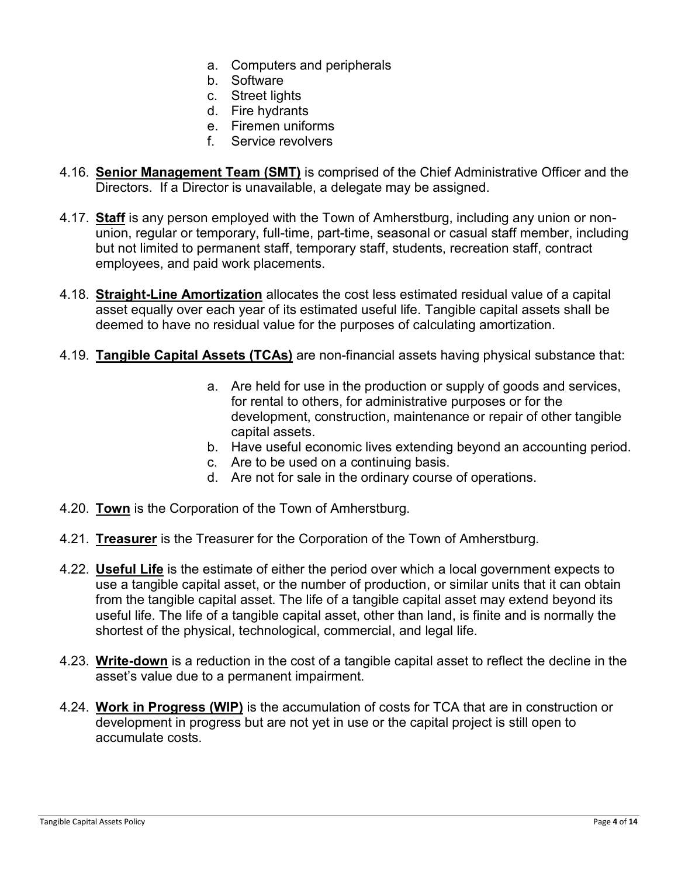- a. Computers and peripherals
- b. Software
- c. Street lights
- d. Fire hydrants
- e. Firemen uniforms
- f. Service revolvers
- 4.16. **Senior Management Team (SMT)** is comprised of the Chief Administrative Officer and the Directors. If a Director is unavailable, a delegate may be assigned.
- 4.17. **Staff** is any person employed with the Town of Amherstburg, including any union or nonunion, regular or temporary, full-time, part-time, seasonal or casual staff member, including but not limited to permanent staff, temporary staff, students, recreation staff, contract employees, and paid work placements.
- 4.18. **Straight-Line Amortization** allocates the cost less estimated residual value of a capital asset equally over each year of its estimated useful life. Tangible capital assets shall be deemed to have no residual value for the purposes of calculating amortization.
- 4.19. **Tangible Capital Assets (TCAs)** are non-financial assets having physical substance that:
	- a. Are held for use in the production or supply of goods and services, for rental to others, for administrative purposes or for the development, construction, maintenance or repair of other tangible capital assets.
	- b. Have useful economic lives extending beyond an accounting period.
	- c. Are to be used on a continuing basis.
	- d. Are not for sale in the ordinary course of operations.
- 4.20. **Town** is the Corporation of the Town of Amherstburg.
- 4.21. **Treasurer** is the Treasurer for the Corporation of the Town of Amherstburg.
- 4.22. **Useful Life** is the estimate of either the period over which a local government expects to use a tangible capital asset, or the number of production, or similar units that it can obtain from the tangible capital asset. The life of a tangible capital asset may extend beyond its useful life. The life of a tangible capital asset, other than land, is finite and is normally the shortest of the physical, technological, commercial, and legal life.
- 4.23. **Write-down** is a reduction in the cost of a tangible capital asset to reflect the decline in the asset's value due to a permanent impairment.
- 4.24. **Work in Progress (WIP)** is the accumulation of costs for TCA that are in construction or development in progress but are not yet in use or the capital project is still open to accumulate costs.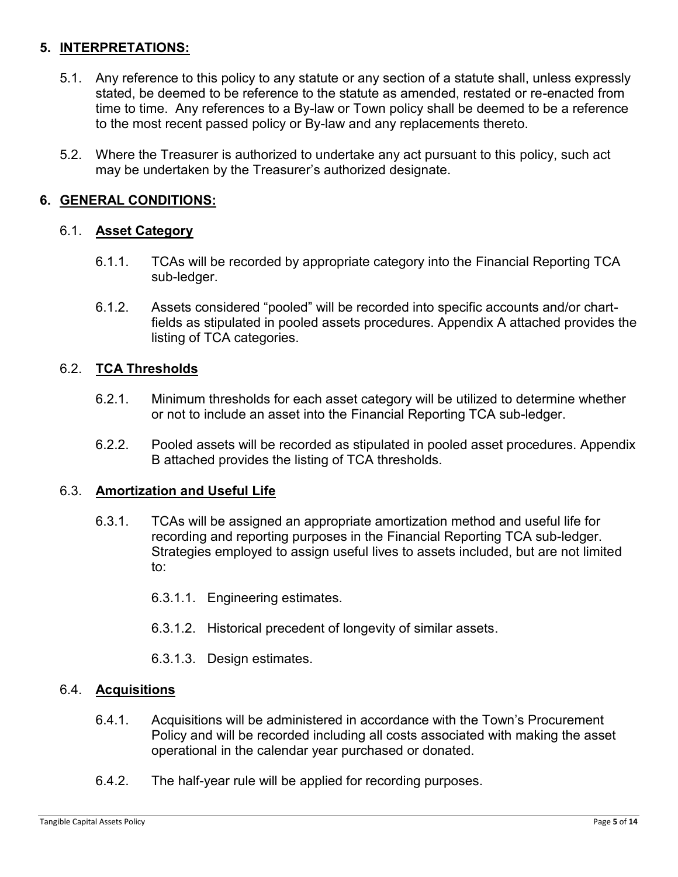# **5. INTERPRETATIONS:**

- 5.1. Any reference to this policy to any statute or any section of a statute shall, unless expressly stated, be deemed to be reference to the statute as amended, restated or re-enacted from time to time. Any references to a By-law or Town policy shall be deemed to be a reference to the most recent passed policy or By-law and any replacements thereto.
- 5.2. Where the Treasurer is authorized to undertake any act pursuant to this policy, such act may be undertaken by the Treasurer's authorized designate.

## **6. GENERAL CONDITIONS:**

### 6.1. **Asset Category**

- 6.1.1. TCAs will be recorded by appropriate category into the Financial Reporting TCA sub-ledger.
- 6.1.2. Assets considered "pooled" will be recorded into specific accounts and/or chartfields as stipulated in pooled assets procedures. Appendix A attached provides the listing of TCA categories.

### 6.2. **TCA Thresholds**

- 6.2.1. Minimum thresholds for each asset category will be utilized to determine whether or not to include an asset into the Financial Reporting TCA sub-ledger.
- 6.2.2. Pooled assets will be recorded as stipulated in pooled asset procedures. Appendix B attached provides the listing of TCA thresholds.

#### 6.3. **Amortization and Useful Life**

- 6.3.1. TCAs will be assigned an appropriate amortization method and useful life for recording and reporting purposes in the Financial Reporting TCA sub-ledger. Strategies employed to assign useful lives to assets included, but are not limited to:
	- 6.3.1.1. Engineering estimates.
	- 6.3.1.2. Historical precedent of longevity of similar assets.
	- 6.3.1.3. Design estimates.

#### 6.4. **Acquisitions**

- 6.4.1. Acquisitions will be administered in accordance with the Town's Procurement Policy and will be recorded including all costs associated with making the asset operational in the calendar year purchased or donated.
- 6.4.2. The half-year rule will be applied for recording purposes.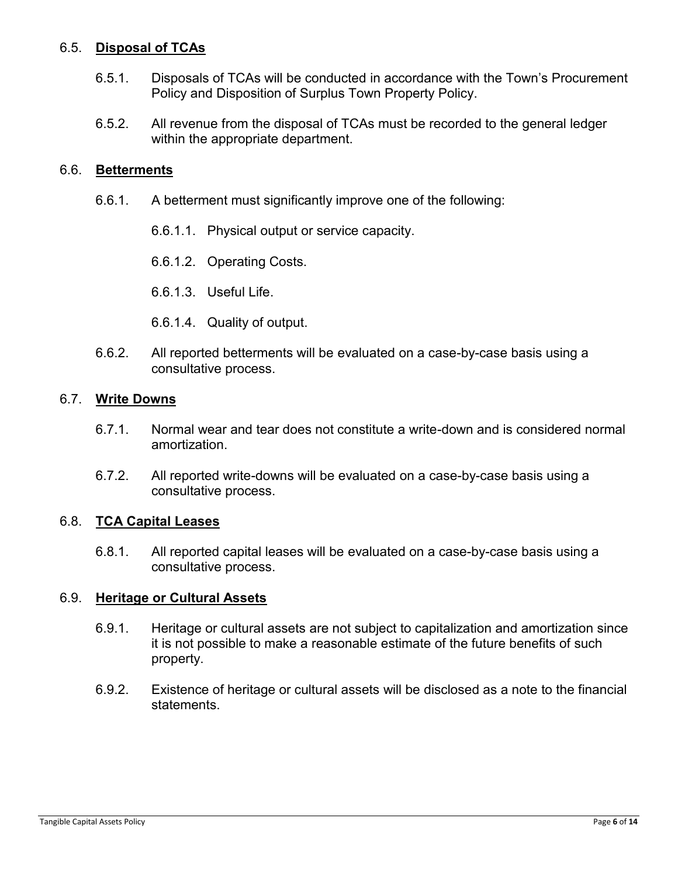### 6.5. **Disposal of TCAs**

- 6.5.1. Disposals of TCAs will be conducted in accordance with the Town's Procurement Policy and Disposition of Surplus Town Property Policy.
- 6.5.2. All revenue from the disposal of TCAs must be recorded to the general ledger within the appropriate department.

#### 6.6. **Betterments**

- 6.6.1. A betterment must significantly improve one of the following:
	- 6.6.1.1. Physical output or service capacity.
	- 6.6.1.2. Operating Costs.
	- 6.6.1.3. Useful Life.
	- 6.6.1.4. Quality of output.
- 6.6.2. All reported betterments will be evaluated on a case-by-case basis using a consultative process.

#### 6.7. **Write Downs**

- 6.7.1. Normal wear and tear does not constitute a write-down and is considered normal amortization.
- 6.7.2. All reported write-downs will be evaluated on a case-by-case basis using a consultative process.

#### 6.8. **TCA Capital Leases**

6.8.1. All reported capital leases will be evaluated on a case-by-case basis using a consultative process.

#### 6.9. **Heritage or Cultural Assets**

- 6.9.1. Heritage or cultural assets are not subject to capitalization and amortization since it is not possible to make a reasonable estimate of the future benefits of such property.
- 6.9.2. Existence of heritage or cultural assets will be disclosed as a note to the financial statements.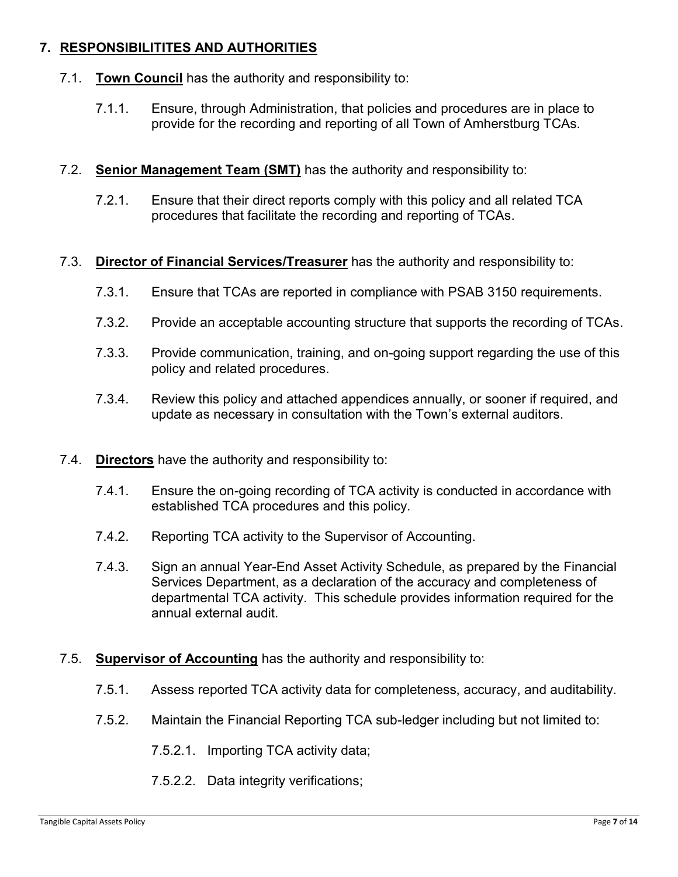# **7. RESPONSIBILITITES AND AUTHORITIES**

- 7.1. **Town Council** has the authority and responsibility to:
	- 7.1.1. Ensure, through Administration, that policies and procedures are in place to provide for the recording and reporting of all Town of Amherstburg TCAs.
- 7.2. **Senior Management Team (SMT)** has the authority and responsibility to:
	- 7.2.1. Ensure that their direct reports comply with this policy and all related TCA procedures that facilitate the recording and reporting of TCAs.
- 7.3. **Director of Financial Services/Treasurer** has the authority and responsibility to:
	- 7.3.1. Ensure that TCAs are reported in compliance with PSAB 3150 requirements.
	- 7.3.2. Provide an acceptable accounting structure that supports the recording of TCAs.
	- 7.3.3. Provide communication, training, and on-going support regarding the use of this policy and related procedures.
	- 7.3.4. Review this policy and attached appendices annually, or sooner if required, and update as necessary in consultation with the Town's external auditors.
- 7.4. **Directors** have the authority and responsibility to:
	- 7.4.1. Ensure the on-going recording of TCA activity is conducted in accordance with established TCA procedures and this policy.
	- 7.4.2. Reporting TCA activity to the Supervisor of Accounting.
	- 7.4.3. Sign an annual Year-End Asset Activity Schedule, as prepared by the Financial Services Department, as a declaration of the accuracy and completeness of departmental TCA activity. This schedule provides information required for the annual external audit.

#### 7.5. **Supervisor of Accounting** has the authority and responsibility to:

- 7.5.1. Assess reported TCA activity data for completeness, accuracy, and auditability.
- 7.5.2. Maintain the Financial Reporting TCA sub-ledger including but not limited to:
	- 7.5.2.1. Importing TCA activity data;
	- 7.5.2.2. Data integrity verifications;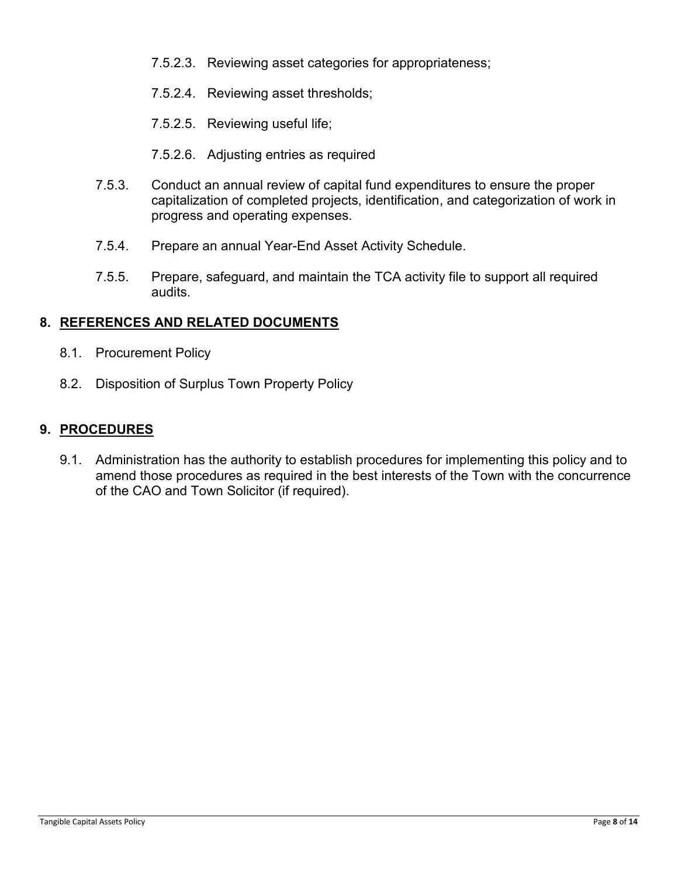- 7.5.2.3. Reviewing asset categories for appropriateness;
- 7.5.2.4. Reviewing asset thresholds;
- 7.5.2.5. Reviewing useful life;
- 7.5.2.6. Adjusting entries as required
- 7.5.3. Conduct an annual review of capital fund expenditures to ensure the proper capitalization of completed projects, identification, and categorization of work in progress and operating expenses.
- 7.5.4. Prepare an annual Year-End Asset Activity Schedule.
- 7.5.5. Prepare, safeguard, and maintain the TCA activity file to support all required audits.

### **8. REFERENCES AND RELATED DOCUMENTS**

- 8.1. Procurement Policy
- 8.2. Disposition of Surplus Town Property Policy

#### **9. PROCEDURES**

9.1. Administration has the authority to establish procedures for implementing this policy and to amend those procedures as required in the best interests of the Town with the concurrence of the CAO and Town Solicitor (if required).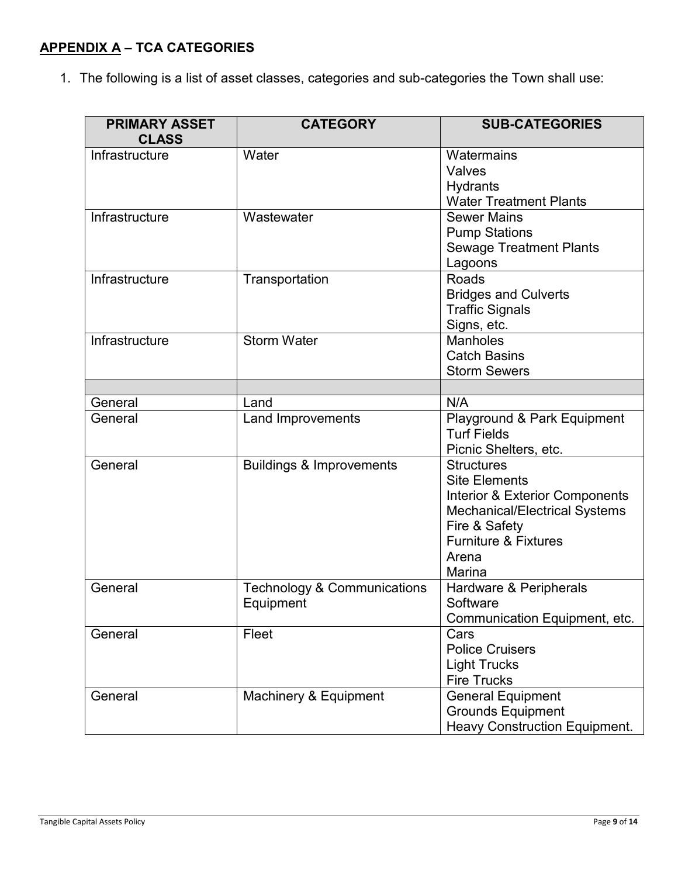# **APPENDIX A – TCA CATEGORIES**

1. The following is a list of asset classes, categories and sub-categories the Town shall use:

| <b>PRIMARY ASSET</b><br><b>CLASS</b> | <b>CATEGORY</b>                                     | <b>SUB-CATEGORIES</b>                                                                                                                                                                                 |  |
|--------------------------------------|-----------------------------------------------------|-------------------------------------------------------------------------------------------------------------------------------------------------------------------------------------------------------|--|
| Infrastructure                       | Water                                               | Watermains<br>Valves<br>Hydrants<br><b>Water Treatment Plants</b>                                                                                                                                     |  |
| Infrastructure                       | Wastewater                                          | <b>Sewer Mains</b><br><b>Pump Stations</b><br><b>Sewage Treatment Plants</b><br>Lagoons                                                                                                               |  |
| Infrastructure                       | Transportation                                      | Roads<br><b>Bridges and Culverts</b><br><b>Traffic Signals</b><br>Signs, etc.                                                                                                                         |  |
| Infrastructure                       | <b>Storm Water</b>                                  | <b>Manholes</b><br><b>Catch Basins</b><br><b>Storm Sewers</b>                                                                                                                                         |  |
|                                      |                                                     |                                                                                                                                                                                                       |  |
| General                              | Land                                                | N/A                                                                                                                                                                                                   |  |
| General                              | <b>Land Improvements</b>                            | Playground & Park Equipment<br><b>Turf Fields</b><br>Picnic Shelters, etc.                                                                                                                            |  |
| General                              | <b>Buildings &amp; Improvements</b>                 | <b>Structures</b><br><b>Site Elements</b><br><b>Interior &amp; Exterior Components</b><br><b>Mechanical/Electrical Systems</b><br>Fire & Safety<br><b>Furniture &amp; Fixtures</b><br>Arena<br>Marina |  |
| General                              | <b>Technology &amp; Communications</b><br>Equipment | Hardware & Peripherals<br>Software<br>Communication Equipment, etc.                                                                                                                                   |  |
| General                              | Fleet                                               | Cars<br><b>Police Cruisers</b><br><b>Light Trucks</b><br><b>Fire Trucks</b>                                                                                                                           |  |
| General                              | Machinery & Equipment                               | <b>General Equipment</b><br><b>Grounds Equipment</b><br><b>Heavy Construction Equipment.</b>                                                                                                          |  |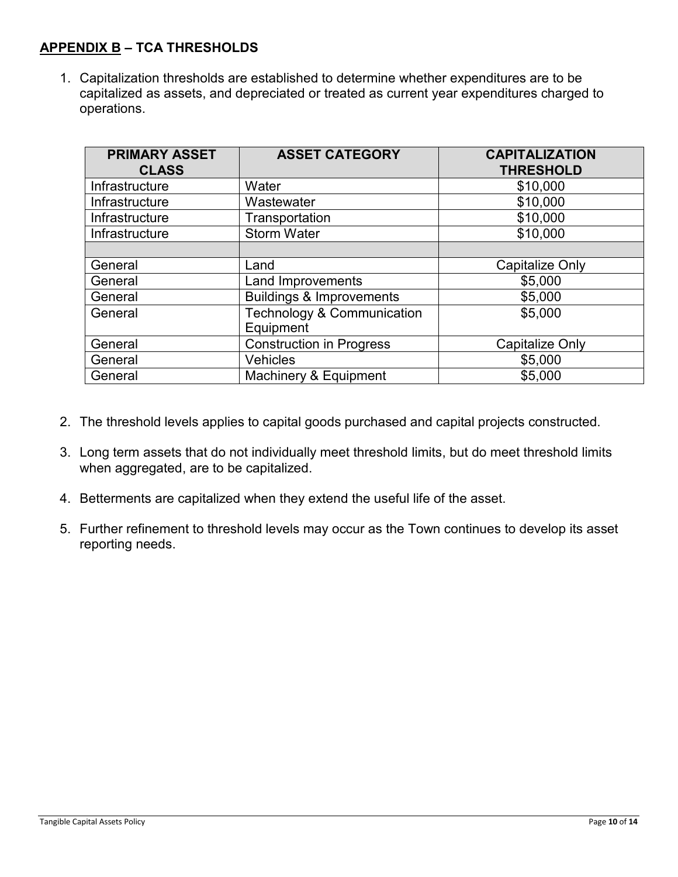# **APPENDIX B – TCA THRESHOLDS**

1. Capitalization thresholds are established to determine whether expenditures are to be capitalized as assets, and depreciated or treated as current year expenditures charged to operations.

| <b>PRIMARY ASSET</b><br><b>CLASS</b> | <b>ASSET CATEGORY</b>                   | <b>CAPITALIZATION</b><br><b>THRESHOLD</b> |  |  |
|--------------------------------------|-----------------------------------------|-------------------------------------------|--|--|
| Infrastructure                       | Water                                   | \$10,000                                  |  |  |
| Infrastructure                       | Wastewater                              | \$10,000                                  |  |  |
| Infrastructure                       | Transportation                          | \$10,000                                  |  |  |
| Infrastructure                       | <b>Storm Water</b>                      | \$10,000                                  |  |  |
|                                      |                                         |                                           |  |  |
| General                              | Land                                    | Capitalize Only                           |  |  |
| General                              | Land Improvements                       | \$5,000                                   |  |  |
| General                              | <b>Buildings &amp; Improvements</b>     | \$5,000                                   |  |  |
| General                              | Technology & Communication<br>Equipment | \$5,000                                   |  |  |
| General                              | <b>Construction in Progress</b>         | <b>Capitalize Only</b>                    |  |  |
| General                              | Vehicles                                | \$5,000                                   |  |  |
| General                              | Machinery & Equipment                   | \$5,000                                   |  |  |

- 2. The threshold levels applies to capital goods purchased and capital projects constructed.
- 3. Long term assets that do not individually meet threshold limits, but do meet threshold limits when aggregated, are to be capitalized.
- 4. Betterments are capitalized when they extend the useful life of the asset.
- 5. Further refinement to threshold levels may occur as the Town continues to develop its asset reporting needs.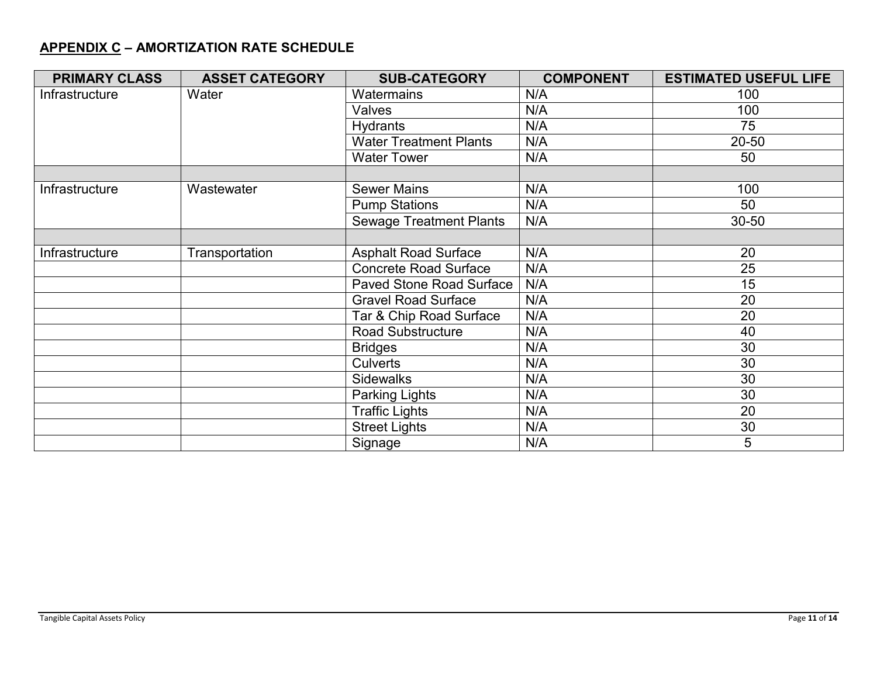# **APPENDIX C – AMORTIZATION RATE SCHEDULE**

| <b>PRIMARY CLASS</b> | <b>ASSET CATEGORY</b> | <b>SUB-CATEGORY</b>             | <b>COMPONENT</b> | <b>ESTIMATED USEFUL LIFE</b> |
|----------------------|-----------------------|---------------------------------|------------------|------------------------------|
| Infrastructure       | Water                 | Watermains                      | N/A              | 100                          |
|                      |                       | Valves                          | N/A              | 100                          |
|                      |                       | Hydrants                        | N/A              | 75                           |
|                      |                       | <b>Water Treatment Plants</b>   | N/A              | 20-50                        |
|                      |                       | <b>Water Tower</b>              | N/A              | 50                           |
|                      |                       |                                 |                  |                              |
| Infrastructure       | Wastewater            | <b>Sewer Mains</b>              | N/A              | 100                          |
|                      |                       | <b>Pump Stations</b>            | N/A              | 50                           |
|                      |                       | <b>Sewage Treatment Plants</b>  | N/A              | 30-50                        |
|                      |                       |                                 |                  |                              |
| Infrastructure       | Transportation        | <b>Asphalt Road Surface</b>     | N/A              | 20                           |
|                      |                       | <b>Concrete Road Surface</b>    | N/A              | 25                           |
|                      |                       | <b>Paved Stone Road Surface</b> | N/A              | 15                           |
|                      |                       | <b>Gravel Road Surface</b>      | N/A              | 20                           |
|                      |                       | Tar & Chip Road Surface         | N/A              | 20                           |
|                      |                       | <b>Road Substructure</b>        | N/A              | 40                           |
|                      |                       | <b>Bridges</b>                  | N/A              | 30                           |
|                      |                       | <b>Culverts</b>                 | N/A              | 30                           |
|                      |                       | <b>Sidewalks</b>                | N/A              | 30                           |
|                      |                       | Parking Lights                  | N/A              | 30                           |
|                      |                       | <b>Traffic Lights</b>           | N/A              | 20                           |
|                      |                       | <b>Street Lights</b>            | N/A              | 30                           |
|                      |                       | Signage                         | N/A              | 5                            |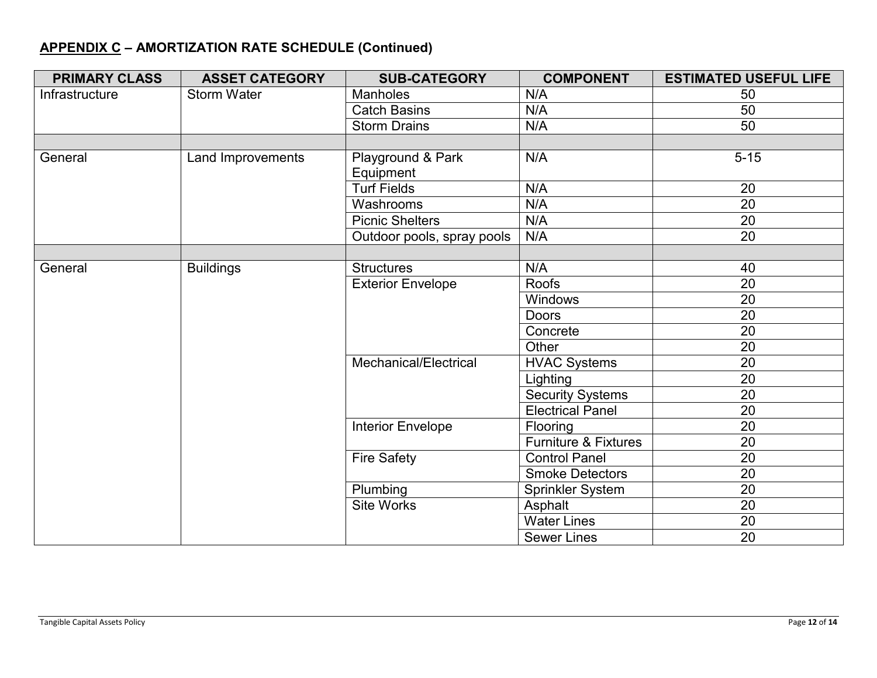# **APPENDIX C – AMORTIZATION RATE SCHEDULE (Continued)**

| <b>PRIMARY CLASS</b> | <b>ASSET CATEGORY</b> | <b>SUB-CATEGORY</b>        | <b>COMPONENT</b>                | <b>ESTIMATED USEFUL LIFE</b> |
|----------------------|-----------------------|----------------------------|---------------------------------|------------------------------|
| Infrastructure       | <b>Storm Water</b>    | Manholes                   | N/A                             | 50                           |
|                      |                       | <b>Catch Basins</b>        | N/A                             | 50                           |
|                      |                       | <b>Storm Drains</b>        | N/A                             | 50                           |
|                      |                       |                            |                                 |                              |
| General              | Land Improvements     | Playground & Park          | N/A                             | $5 - 15$                     |
|                      |                       | Equipment                  |                                 |                              |
|                      |                       | <b>Turf Fields</b>         | N/A                             | 20                           |
|                      |                       | Washrooms                  | N/A                             | 20                           |
|                      |                       | <b>Picnic Shelters</b>     | N/A                             | 20                           |
|                      |                       | Outdoor pools, spray pools | N/A                             | 20                           |
|                      |                       |                            |                                 |                              |
| General              | <b>Buildings</b>      | <b>Structures</b>          | N/A                             | 40                           |
|                      |                       | <b>Exterior Envelope</b>   | <b>Roofs</b>                    | 20                           |
|                      |                       |                            | Windows                         | 20                           |
|                      |                       |                            | <b>Doors</b>                    | 20                           |
|                      |                       |                            | Concrete                        | 20                           |
|                      |                       |                            | Other                           | 20                           |
|                      |                       | Mechanical/Electrical      | <b>HVAC Systems</b>             | 20                           |
|                      |                       |                            | Lighting                        | 20                           |
|                      |                       |                            | <b>Security Systems</b>         | 20                           |
|                      |                       |                            | <b>Electrical Panel</b>         | 20                           |
|                      |                       | <b>Interior Envelope</b>   | Flooring                        | 20                           |
|                      |                       |                            | <b>Furniture &amp; Fixtures</b> | 20                           |
|                      |                       | <b>Fire Safety</b>         | <b>Control Panel</b>            | 20                           |
|                      |                       |                            | <b>Smoke Detectors</b>          | 20                           |
|                      |                       | Plumbing                   | <b>Sprinkler System</b>         | 20                           |
|                      |                       | <b>Site Works</b>          | Asphalt                         | 20                           |
|                      |                       |                            | <b>Water Lines</b>              | 20                           |
|                      |                       |                            | <b>Sewer Lines</b>              | $\overline{20}$              |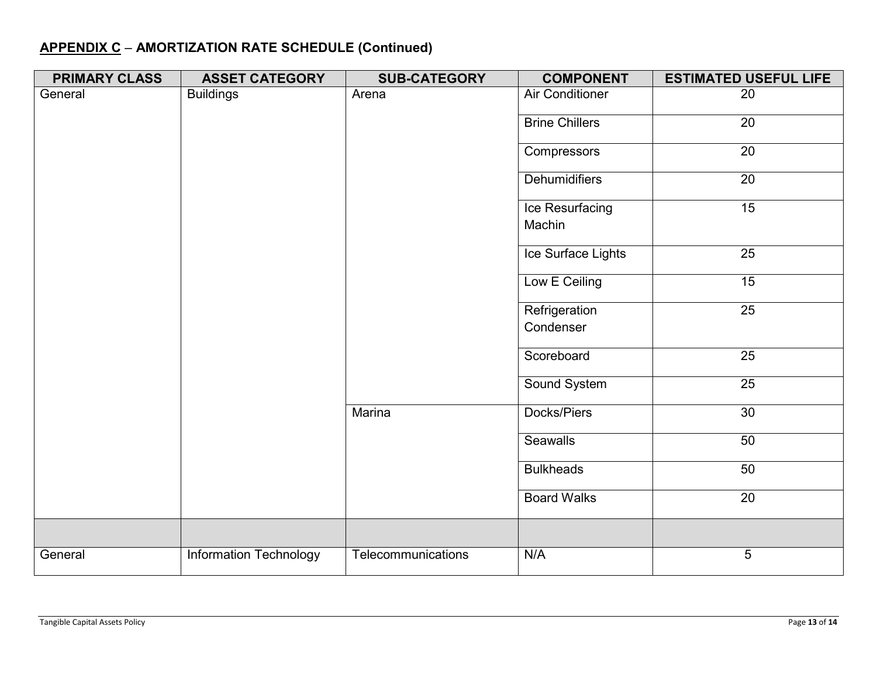# **APPENDIX C** – **AMORTIZATION RATE SCHEDULE (Continued)**

| <b>PRIMARY CLASS</b> | <b>ASSET CATEGORY</b>         | <b>SUB-CATEGORY</b> | <b>COMPONENT</b>       | <b>ESTIMATED USEFUL LIFE</b> |
|----------------------|-------------------------------|---------------------|------------------------|------------------------------|
| General              | <b>Buildings</b>              | Arena               | <b>Air Conditioner</b> | 20                           |
|                      |                               |                     | <b>Brine Chillers</b>  | 20                           |
|                      |                               |                     | Compressors            | $\overline{20}$              |
|                      |                               |                     | <b>Dehumidifiers</b>   | $\overline{20}$              |
|                      |                               |                     | Ice Resurfacing        | 15                           |
|                      |                               |                     | Machin                 |                              |
|                      |                               |                     | Ice Surface Lights     | $\overline{25}$              |
|                      |                               |                     | Low E Ceiling          | 15                           |
|                      |                               |                     | Refrigeration          | 25                           |
|                      |                               |                     | Condenser              |                              |
|                      |                               |                     | Scoreboard             | $\overline{25}$              |
|                      |                               |                     | Sound System           | 25                           |
|                      |                               | Marina              | Docks/Piers            | $\overline{30}$              |
|                      |                               |                     | <b>Seawalls</b>        | 50                           |
|                      |                               |                     | <b>Bulkheads</b>       | 50                           |
|                      |                               |                     | <b>Board Walks</b>     | 20                           |
|                      |                               |                     |                        |                              |
| General              | <b>Information Technology</b> | Telecommunications  | N/A                    | 5                            |